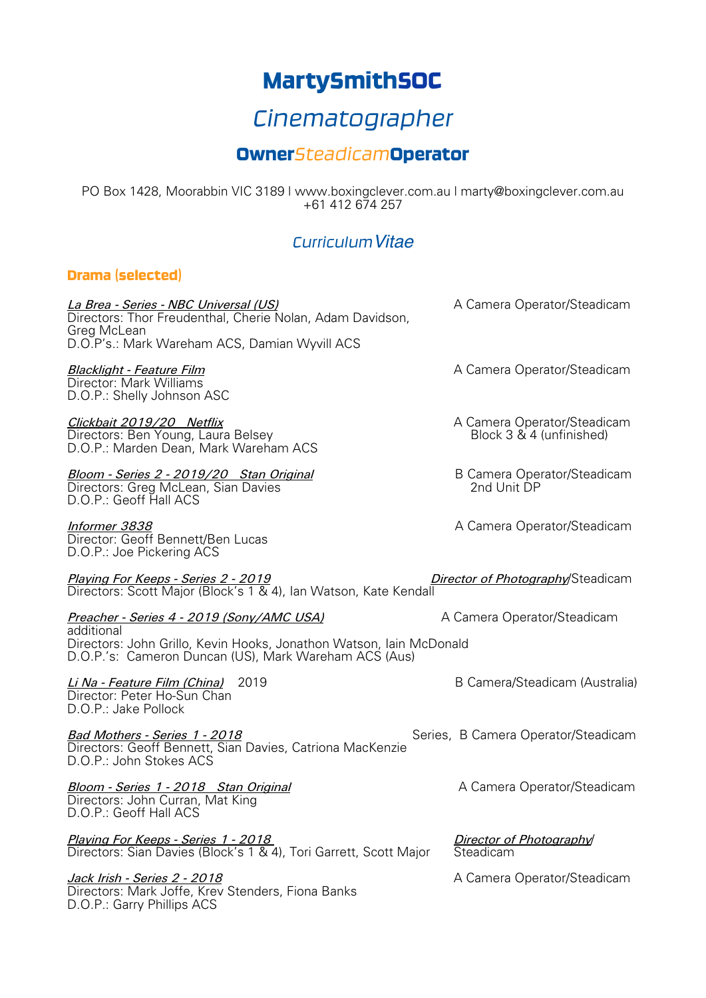# MartySmithSOC

# *Cinematographer*

## Owner*Steadicam*Operator

PO Box 1428, Moorabbin VIC 3189 | www.boxingclever.com.au | marty@boxingclever.com.au +61 412 674 257

## *CurriculumVitae*

#### Drama (selected)

**La Brea - Series - NBC Universal (US)** A Camera Operator/Steadicam Directors: Thor Freudenthal, Cherie Nolan, Adam Davidson, Greg McLean D.O.P's.: Mark Wareham ACS, Damian Wyvill ACS

Director: Mark Williams D.O.P.: Shelly Johnson ASC

#### *Clickbait 2019/20 Netflix* A Camera Operator/Steadicam Directors: Ben Young, Laura Belsey D.O.P.: Marden Dean, Mark Wareham ACS

*Bloom - Series 2 - 2019/20 Stan Original* B Camera Operator/Steadicam Directors: Greg McLean, Sian Davies D.O.P.: Geoff Hall ACS

*Informer 3838* A Camera Operator/Steadicam Director: Geoff Bennett/Ben Lucas D.O.P.: Joe Pickering ACS

*Playing For Keeps - Series 2 - 2019 Director of Photography*/Steadicam Directors: Scott Major (Block's 1 & 4), Ian Watson, Kate Kendall

#### *Preacher - Series 4 - 2019 (Sony/AMC USA)* A Camera Operator/Steadicam

additional Directors: John Grillo, Kevin Hooks, Jonathon Watson, Iain McDonald D.O.P.'s: Cameron Duncan (US), Mark Wareham ACS (Aus)

*Li Na - Feature Film (China)* 2019 B Camera/Steadicam (Australia) Director: Peter Ho-Sun Chan D.O.P.: Jake Pollock

**Bad Mothers - Series 1 - 2018** Series, B Camera Operator/Steadicam Directors: Geoff Bennett, Sian Davies, Catriona MacKenzie D.O.P.: John Stokes ACS

**Bloom - Series 1 - 2018 Stan Original** A Camera Operator/Steadicam Directors: John Curran, Mat King D.O.P.: Geoff Hall ACS

*Playing For Keeps - Series 1 - 2018 Director of Photography*/ Directors: Sian Davies (Block's 1 & 4), Tori Garrett, Scott Major

*Jack Irish - Series 2 - 2018* A Camera Operator/Steadicam Directors: Mark Joffe, Krev Stenders, Fiona Banks D.O.P.: Garry Phillips ACS

**Blacklight - Feature Film** A Camera Operator/Steadicam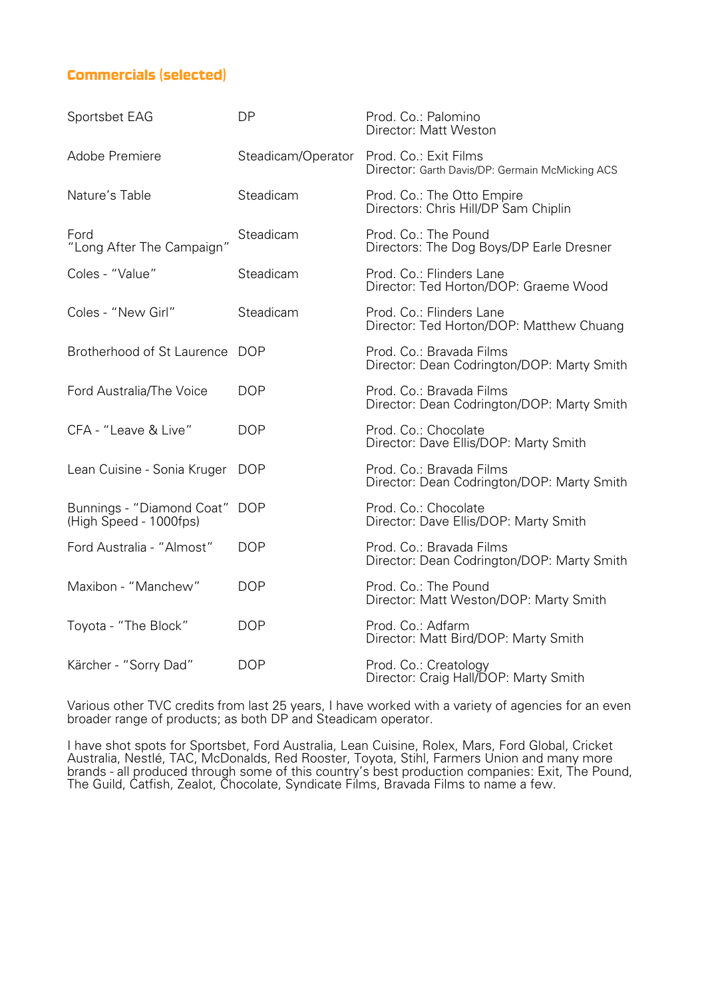### Commercials (selected)

| Sportsbet EAG                                       | <b>DP</b>          | Prod. Co.: Palomino<br>Director: Matt Weston                             |
|-----------------------------------------------------|--------------------|--------------------------------------------------------------------------|
| Adobe Premiere                                      | Steadicam/Operator | Prod. Co.: Exit Films<br>Director: Garth Davis/DP: Germain McMicking ACS |
| Nature's Table                                      | Steadicam          | Prod. Co.: The Otto Empire<br>Directors: Chris Hill/DP Sam Chiplin       |
| Ford<br>"Long After The Campaign"                   | Steadicam          | Prod. Co.: The Pound<br>Directors: The Dog Boys/DP Earle Dresner         |
| Coles - "Value"                                     | Steadicam          | Prod. Co.: Flinders Lane<br>Director: Ted Horton/DOP: Graeme Wood        |
| Coles - "New Girl"                                  | Steadicam          | Prod. Co.: Flinders Lane<br>Director: Ted Horton/DOP: Matthew Chuang     |
| Brotherhood of St Laurence DOP                      |                    | Prod. Co.: Bravada Films<br>Director: Dean Codrington/DOP: Marty Smith   |
| Ford Australia/The Voice                            | <b>DOP</b>         | Prod. Co.: Bravada Films<br>Director: Dean Codrington/DOP: Marty Smith   |
| CFA - "Leave & Live"                                | <b>DOP</b>         | Prod. Co.: Chocolate<br>Director: Dave Ellis/DOP: Marty Smith            |
| Lean Cuisine - Sonia Kruger                         | <b>DOP</b>         | Prod. Co.: Bravada Films<br>Director: Dean Codrington/DOP: Marty Smith   |
| Bunnings - "Diamond Coat"<br>(High Speed - 1000fps) | <b>DOP</b>         | Prod. Co.: Chocolate<br>Director: Dave Ellis/DOP: Marty Smith            |
| Ford Australia - "Almost"                           | <b>DOP</b>         | Prod. Co.: Bravada Films<br>Director: Dean Codrington/DOP: Marty Smith   |
| Maxibon - "Manchew"                                 | <b>DOP</b>         | Prod. Co.: The Pound<br>Director: Matt Weston/DOP: Marty Smith           |
| Toyota - "The Block"                                | <b>DOP</b>         | Prod. Co.: Adfarm<br>Director: Matt Bird/DOP: Marty Smith                |
| Kärcher - "Sorry Dad"                               | <b>DOP</b>         | Prod. Co.: Creatology<br>Director: Craig Hall/DOP: Marty Smith           |

Various other TVC credits from last 25 years, I have worked with a variety of agencies for an even broader range of products; as both DP and Steadicam operator.

I have shot spots for Sportsbet, Ford Australia, Lean Cuisine, Rolex, Mars, Ford Global, Cricket Australia, Nestlé, TAC, McDonalds, Red Rooster, Toyota, Stihl, Farmers Union and many more brands - all produced through some of this country's best production companies: Exit, The Pound, The Guild, Catfish, Zealot, Chocolate, Syndicate Films, Bravada Films to name a few.